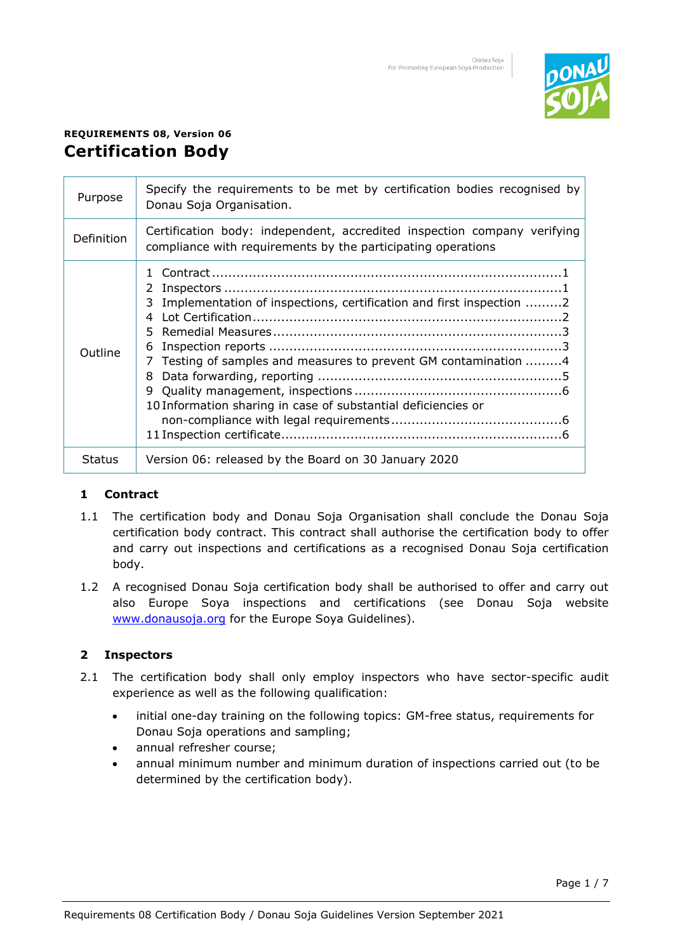

# **REQUIREMENTS 08, Version 06 Certification Body**

| Purpose       | Specify the requirements to be met by certification bodies recognised by<br>Donau Soja Organisation.                                                                                                                                 |
|---------------|--------------------------------------------------------------------------------------------------------------------------------------------------------------------------------------------------------------------------------------|
| Definition    | Certification body: independent, accredited inspection company verifying<br>compliance with requirements by the participating operations                                                                                             |
| Outline       | 2<br>Implementation of inspections, certification and first inspection 2<br>3.<br>4<br>Testing of samples and measures to prevent GM contamination 4<br>7<br>8<br>9<br>10 Information sharing in case of substantial deficiencies or |
| <b>Status</b> | Version 06: released by the Board on 30 January 2020                                                                                                                                                                                 |

# **1 Contract**

- 1.1 The certification body and Donau Soja Organisation shall conclude the Donau Soja certification body contract. This contract shall authorise the certification body to offer and carry out inspections and certifications as a recognised Donau Soja certification body.
- 1.2 A recognised Donau Soja certification body shall be authorised to offer and carry out also Europe Soya inspections and certifications (see Donau Soja website [www.donausoja.org](http://www.donausoja.org/) for the Europe Soya Guidelines).

# **2 Inspectors**

- 2.1 The certification body shall only employ inspectors who have sector-specific audit experience as well as the following qualification:
	- initial one-day training on the following topics: GM-free status, requirements for Donau Soja operations and sampling;
	- annual refresher course;
	- annual minimum number and minimum duration of inspections carried out (to be determined by the certification body).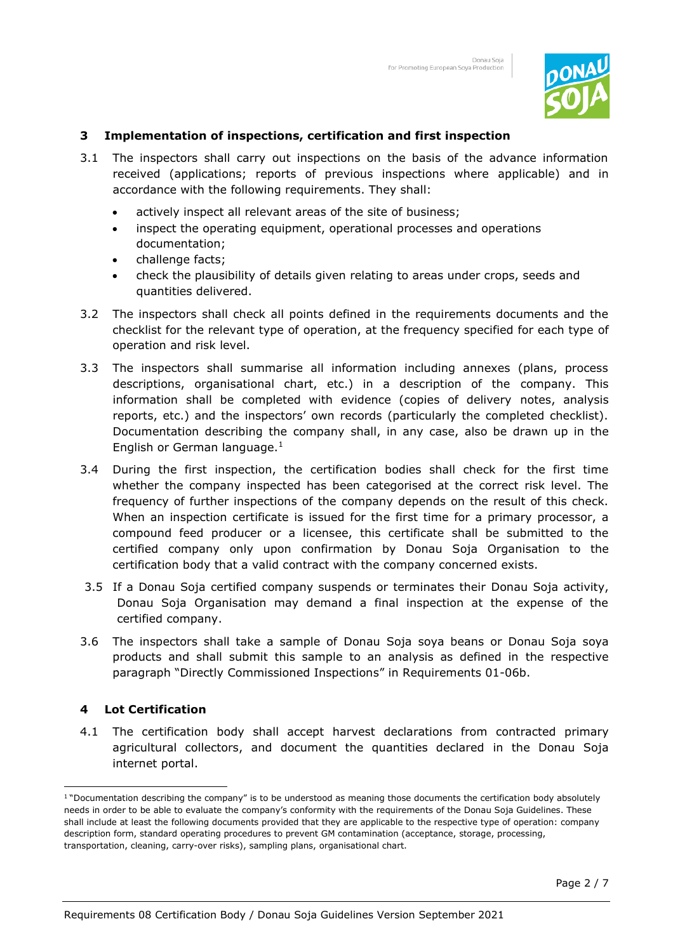

## **3 Implementation of inspections, certification and first inspection**

- 3.1 The inspectors shall carry out inspections on the basis of the advance information received (applications; reports of previous inspections where applicable) and in accordance with the following requirements. They shall:
	- actively inspect all relevant areas of the site of business;
	- inspect the operating equipment, operational processes and operations documentation;
	- challenge facts;
	- check the plausibility of details given relating to areas under crops, seeds and quantities delivered.
- 3.2 The inspectors shall check all points defined in the requirements documents and the checklist for the relevant type of operation, at the frequency specified for each type of operation and risk level.
- 3.3 The inspectors shall summarise all information including annexes (plans, process descriptions, organisational chart, etc.) in a description of the company. This information shall be completed with evidence (copies of delivery notes, analysis reports, etc.) and the inspectors' own records (particularly the completed checklist). Documentation describing the company shall, in any case, also be drawn up in the English or German language. $<sup>1</sup>$ </sup>
- 3.4 During the first inspection, the certification bodies shall check for the first time whether the company inspected has been categorised at the correct risk level. The frequency of further inspections of the company depends on the result of this check. When an inspection certificate is issued for the first time for a primary processor, a compound feed producer or a licensee, this certificate shall be submitted to the certified company only upon confirmation by Donau Soja Organisation to the certification body that a valid contract with the company concerned exists.
- 3.5 If a Donau Soja certified company suspends or terminates their Donau Soja activity, Donau Soja Organisation may demand a final inspection at the expense of the certified company.
- 3.6 The inspectors shall take a sample of Donau Soja soya beans or Donau Soja soya products and shall submit this sample to an analysis as defined in the respective paragraph "Directly Commissioned Inspections" in Requirements 01-06b.

# **4 Lot Certification**

4.1 The certification body shall accept harvest declarations from contracted primary agricultural collectors, and document the quantities declared in the Donau Soja internet portal.

<sup>&</sup>lt;sup>1</sup> "Documentation describing the company" is to be understood as meaning those documents the certification body absolutely needs in order to be able to evaluate the company's conformity with the requirements of the Donau Soja Guidelines. These shall include at least the following documents provided that they are applicable to the respective type of operation: company description form, standard operating procedures to prevent GM contamination (acceptance, storage, processing, transportation, cleaning, carry-over risks), sampling plans, organisational chart.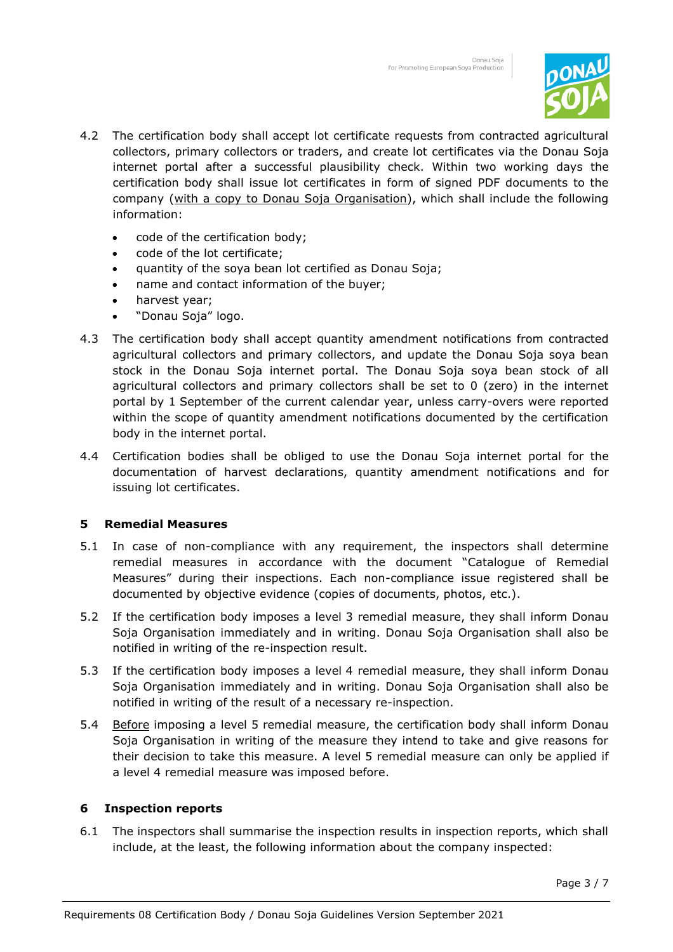

- 4.2 The certification body shall accept lot certificate requests from contracted agricultural collectors, primary collectors or traders, and create lot certificates via the Donau Soja internet portal after a successful plausibility check. Within two working days the certification body shall issue lot certificates in form of signed PDF documents to the company (with a copy to Donau Soja Organisation), which shall include the following information:
	- code of the certification body;
	- code of the lot certificate;
	- quantity of the soya bean lot certified as Donau Soja;
	- name and contact information of the buyer;
	- harvest year;
	- "Donau Soja" logo.
- 4.3 The certification body shall accept quantity amendment notifications from contracted agricultural collectors and primary collectors, and update the Donau Soja soya bean stock in the Donau Soja internet portal. The Donau Soja soya bean stock of all agricultural collectors and primary collectors shall be set to 0 (zero) in the internet portal by 1 September of the current calendar year, unless carry-overs were reported within the scope of quantity amendment notifications documented by the certification body in the internet portal.
- 4.4 Certification bodies shall be obliged to use the Donau Soja internet portal for the documentation of harvest declarations, quantity amendment notifications and for issuing lot certificates.

### **5 Remedial Measures**

- 5.1 In case of non-compliance with any requirement, the inspectors shall determine remedial measures in accordance with the document "Catalogue of Remedial Measures" during their inspections. Each non-compliance issue registered shall be documented by objective evidence (copies of documents, photos, etc.).
- 5.2 If the certification body imposes a level 3 remedial measure, they shall inform Donau Soja Organisation immediately and in writing. Donau Soja Organisation shall also be notified in writing of the re-inspection result.
- 5.3 If the certification body imposes a level 4 remedial measure, they shall inform Donau Soja Organisation immediately and in writing. Donau Soja Organisation shall also be notified in writing of the result of a necessary re-inspection.
- 5.4 Before imposing a level 5 remedial measure, the certification body shall inform Donau Soja Organisation in writing of the measure they intend to take and give reasons for their decision to take this measure. A level 5 remedial measure can only be applied if a level 4 remedial measure was imposed before.

### **6 Inspection reports**

6.1 The inspectors shall summarise the inspection results in inspection reports, which shall include, at the least, the following information about the company inspected: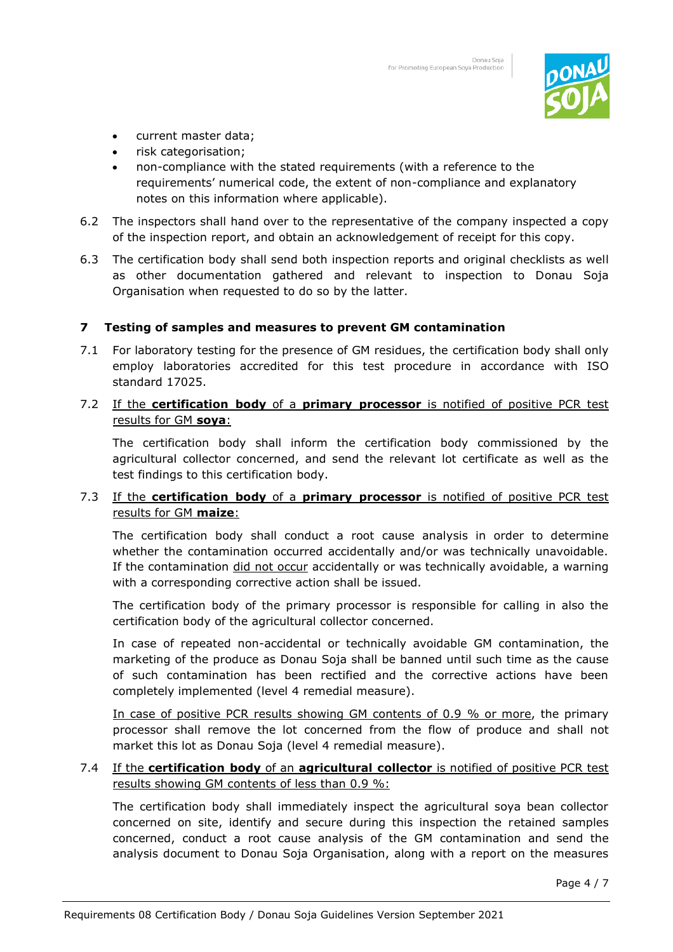

- current master data;
- risk categorisation;
- non-compliance with the stated requirements (with a reference to the requirements' numerical code, the extent of non-compliance and explanatory notes on this information where applicable).
- 6.2 The inspectors shall hand over to the representative of the company inspected a copy of the inspection report, and obtain an acknowledgement of receipt for this copy.
- 6.3 The certification body shall send both inspection reports and original checklists as well as other documentation gathered and relevant to inspection to Donau Soja Organisation when requested to do so by the latter.

### **7 Testing of samples and measures to prevent GM contamination**

7.1 For laboratory testing for the presence of GM residues, the certification body shall only employ laboratories accredited for this test procedure in accordance with ISO standard 17025.

## 7.2 If the **certification body** of a **primary processor** is notified of positive PCR test results for GM **soya**:

The certification body shall inform the certification body commissioned by the agricultural collector concerned, and send the relevant lot certificate as well as the test findings to this certification body.

# 7.3 If the **certification body** of a **primary processor** is notified of positive PCR test results for GM **maize**:

The certification body shall conduct a root cause analysis in order to determine whether the contamination occurred accidentally and/or was technically unavoidable. If the contamination did not occur accidentally or was technically avoidable, a warning with a corresponding corrective action shall be issued.

The certification body of the primary processor is responsible for calling in also the certification body of the agricultural collector concerned.

In case of repeated non-accidental or technically avoidable GM contamination, the marketing of the produce as Donau Soja shall be banned until such time as the cause of such contamination has been rectified and the corrective actions have been completely implemented (level 4 remedial measure).

In case of positive PCR results showing GM contents of 0.9 % or more, the primary processor shall remove the lot concerned from the flow of produce and shall not market this lot as Donau Soja (level 4 remedial measure).

### 7.4 If the **certification body** of an **agricultural collector** is notified of positive PCR test results showing GM contents of less than 0.9 %:

The certification body shall immediately inspect the agricultural soya bean collector concerned on site, identify and secure during this inspection the retained samples concerned, conduct a root cause analysis of the GM contamination and send the analysis document to Donau Soja Organisation, along with a report on the measures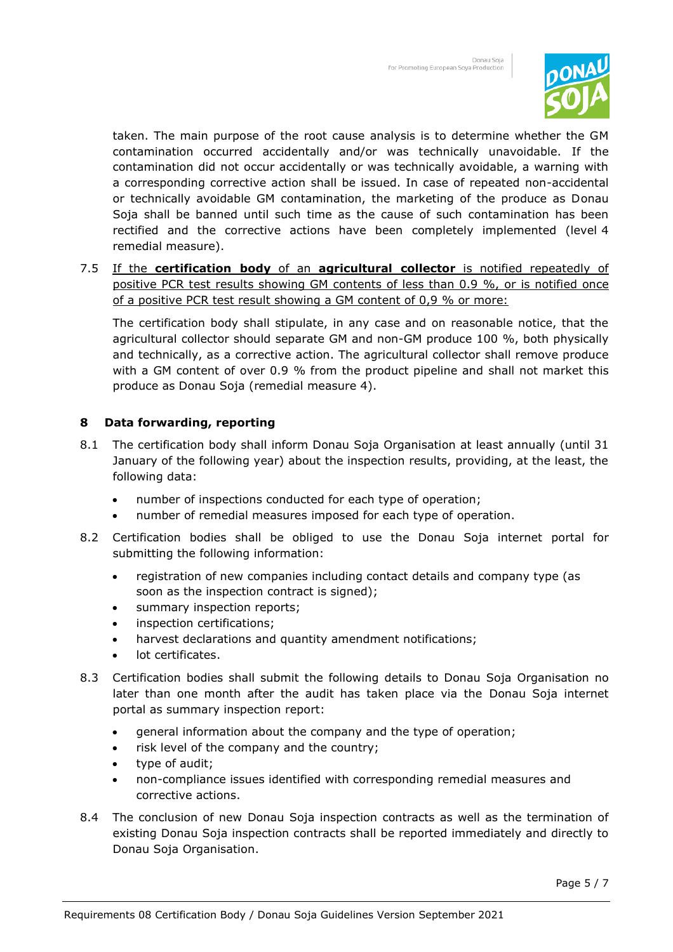

taken. The main purpose of the root cause analysis is to determine whether the GM contamination occurred accidentally and/or was technically unavoidable. If the contamination did not occur accidentally or was technically avoidable, a warning with a corresponding corrective action shall be issued. In case of repeated non-accidental or technically avoidable GM contamination, the marketing of the produce as Donau Soja shall be banned until such time as the cause of such contamination has been rectified and the corrective actions have been completely implemented (level 4 remedial measure).

7.5 If the **certification body** of an **agricultural collector** is notified repeatedly of positive PCR test results showing GM contents of less than 0.9 %, or is notified once of a positive PCR test result showing a GM content of 0,9 % or more:

The certification body shall stipulate, in any case and on reasonable notice, that the agricultural collector should separate GM and non-GM produce 100 %, both physically and technically, as a corrective action. The agricultural collector shall remove produce with a GM content of over 0.9 % from the product pipeline and shall not market this produce as Donau Soja (remedial measure 4).

# **8 Data forwarding, reporting**

- 8.1 The certification body shall inform Donau Soja Organisation at least annually (until 31 January of the following year) about the inspection results, providing, at the least, the following data:
	- number of inspections conducted for each type of operation;
	- number of remedial measures imposed for each type of operation.
- 8.2 Certification bodies shall be obliged to use the Donau Soja internet portal for submitting the following information:
	- registration of new companies including contact details and company type (as soon as the inspection contract is signed);
	- summary inspection reports;
	- inspection certifications;
	- harvest declarations and quantity amendment notifications;
	- lot certificates.
- 8.3 Certification bodies shall submit the following details to Donau Soja Organisation no later than one month after the audit has taken place via the Donau Soja internet portal as summary inspection report:
	- general information about the company and the type of operation;
	- risk level of the company and the country;
	- type of audit;
	- non-compliance issues identified with corresponding remedial measures and corrective actions.
- 8.4 The conclusion of new Donau Soja inspection contracts as well as the termination of existing Donau Soja inspection contracts shall be reported immediately and directly to Donau Soja Organisation.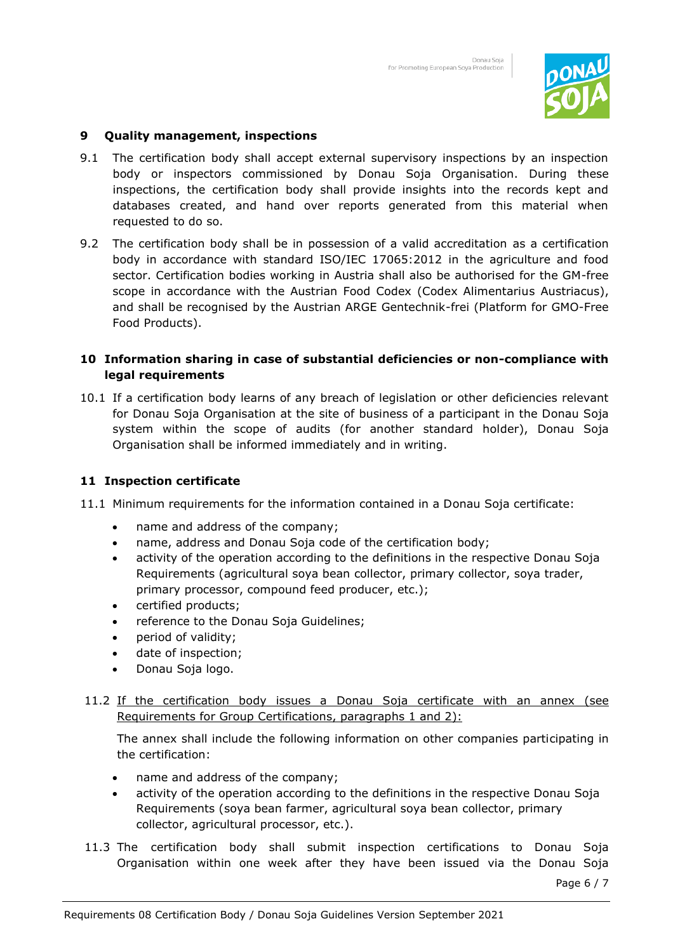

## **9 Quality management, inspections**

- 9.1 The certification body shall accept external supervisory inspections by an inspection body or inspectors commissioned by Donau Soja Organisation. During these inspections, the certification body shall provide insights into the records kept and databases created, and hand over reports generated from this material when requested to do so.
- 9.2 The certification body shall be in possession of a valid accreditation as a certification body in accordance with standard ISO/IEC 17065:2012 in the agriculture and food sector. Certification bodies working in Austria shall also be authorised for the GM-free scope in accordance with the Austrian Food Codex (Codex Alimentarius Austriacus), and shall be recognised by the Austrian ARGE Gentechnik-frei (Platform for GMO-Free Food Products).

### **10 Information sharing in case of substantial deficiencies or non-compliance with legal requirements**

10.1 If a certification body learns of any breach of legislation or other deficiencies relevant for Donau Soja Organisation at the site of business of a participant in the Donau Soja system within the scope of audits (for another standard holder), Donau Soja Organisation shall be informed immediately and in writing.

### **11 Inspection certificate**

- 11.1 Minimum requirements for the information contained in a Donau Soja certificate:
	- name and address of the company;
	- name, address and Donau Soja code of the certification body;
	- activity of the operation according to the definitions in the respective Donau Soja Requirements (agricultural soya bean collector, primary collector, soya trader, primary processor, compound feed producer, etc.);
	- certified products;
	- reference to the Donau Soja Guidelines;
	- period of validity;
	- date of inspection;
	- Donau Soja logo.
- 11.2 If the certification body issues a Donau Soja certificate with an annex (see Requirements for Group Certifications, paragraphs 1 and 2):

The annex shall include the following information on other companies participating in the certification:

- name and address of the company;
- activity of the operation according to the definitions in the respective Donau Soja Requirements (soya bean farmer, agricultural soya bean collector, primary collector, agricultural processor, etc.).
- 11.3 The certification body shall submit inspection certifications to Donau Soja Organisation within one week after they have been issued via the Donau Soja